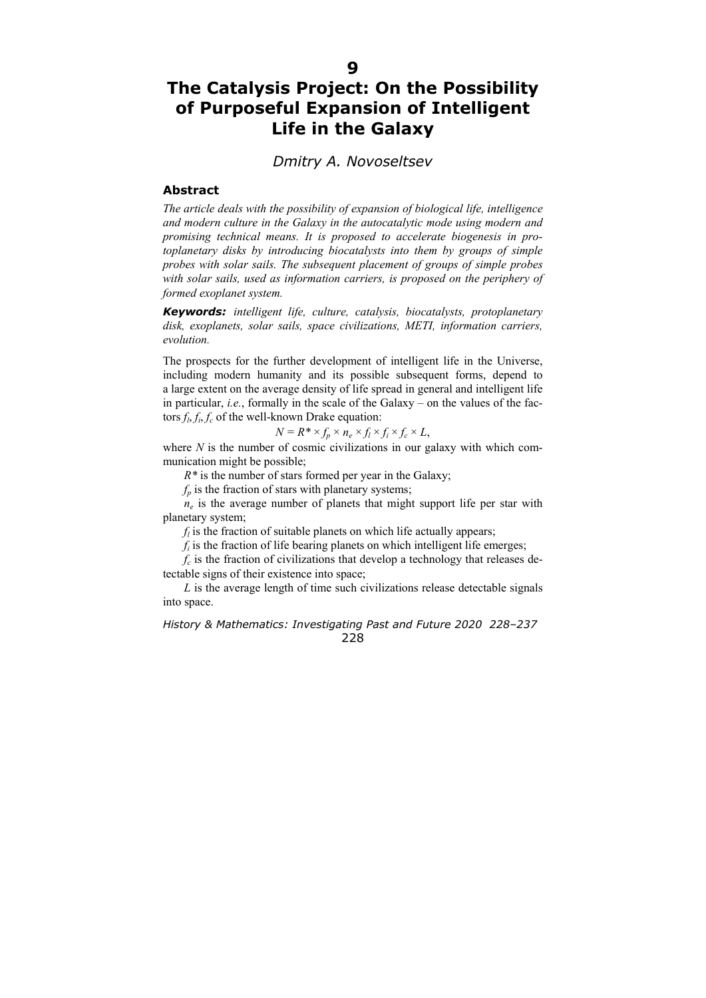## **The Catalysis Project: On the Possibility of Purposeful Expansion of Intelligent Life in the Galaxy**

## *Dmitry A. Novoseltsev*

## **Abstract**

*The article deals with the possibility of expansion of biological life, intelligence and modern culture in the Galaxy in the autocatalytic mode using modern and promising technical means. It is proposed to accelerate biogenesis in protoplanetary disks by introducing biocatalysts into them by groups of simple probes with solar sails. The subsequent placement of groups of simple probes with solar sails, used as information carriers, is proposed on the periphery of formed exoplanet system.* 

*Keywords: intelligent life, culture, catalysis, biocatalysts, protoplanetary disk, exoplanets, solar sails, space civilizations, METI, information carriers, evolution.* 

The prospects for the further development of intelligent life in the Universe, including modern humanity and its possible subsequent forms, depend to a large extent on the average density of life spread in general and intelligent life in particular, *i.e.*, formally in the scale of the Galaxy – on the values of the factors  $f_l$ ,  $f_i$ ,  $f_c$  of the well-known Drake equation:

$$
N = R^* \times f_p \times n_e \times f_l \times f_i \times f_c \times L,
$$

where  $N$  is the number of cosmic civilizations in our galaxy with which communication might be possible;

*R\** is the number of stars formed per year in the Galaxy;

 $f_p$  is the fraction of stars with planetary systems;

 $n_e$  is the average number of planets that might support life per star with planetary system;

 $f_l$  is the fraction of suitable planets on which life actually appears;

 $f_i$  is the fraction of life bearing planets on which intelligent life emerges;

 $f_c$  is the fraction of civilizations that develop a technology that releases detectable signs of their existence into space;

*L* is the average length of time such civilizations release detectable signals into space.

*History & Mathematics: Investigating Past and Future 2020 228–237*  228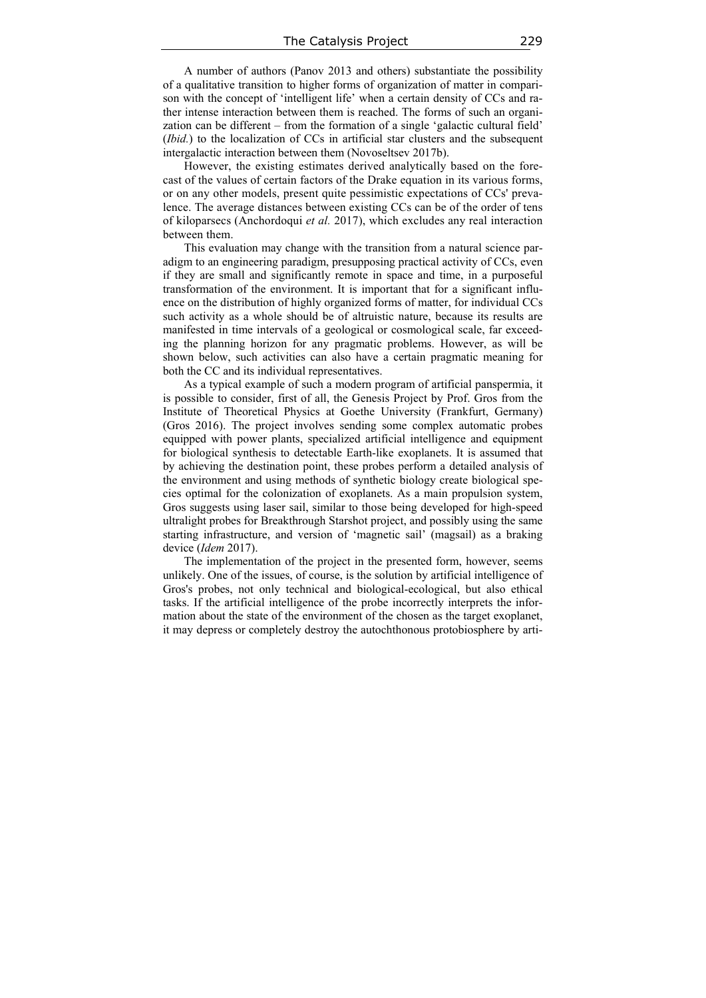A number of authors (Panov 2013 and others) substantiate the possibility of a qualitative transition to higher forms of organization of matter in comparison with the concept of 'intelligent life' when a certain density of CCs and rather intense interaction between them is reached. The forms of such an organization can be different – from the formation of a single 'galactic cultural field' (*Ibid.*) to the localization of CCs in artificial star clusters and the subsequent intergalactic interaction between them (Novoseltsev 2017b).

However, the existing estimates derived analytically based on the forecast of the values of certain factors of the Drake equation in its various forms, or on any other models, present quite pessimistic expectations of CCs' prevalence. The average distances between existing CCs can be of the order of tens of kiloparsecs (Anchordoqui *et al.* 2017), which excludes any real interaction between them.

This evaluation may change with the transition from a natural science paradigm to an engineering paradigm, presupposing practical activity of CCs, even if they are small and significantly remote in space and time, in a purposeful transformation of the environment. It is important that for a significant influence on the distribution of highly organized forms of matter, for individual CCs such activity as a whole should be of altruistic nature, because its results are manifested in time intervals of a geological or cosmological scale, far exceeding the planning horizon for any pragmatic problems. However, as will be shown below, such activities can also have a certain pragmatic meaning for both the CC and its individual representatives.

As a typical example of such a modern program of artificial panspermia, it is possible to consider, first of all, the Genesis Project by Prof. Gros from the Institute of Theoretical Physics at Goethe University (Frankfurt, Germany) (Gros 2016). The project involves sending some complex automatic probes equipped with power plants, specialized artificial intelligence and equipment for biological synthesis to detectable Earth-like exoplanets. It is assumed that by achieving the destination point, these probes perform a detailed analysis of the environment and using methods of synthetic biology create biological species optimal for the colonization of exoplanets. As a main propulsion system, Gros suggests using laser sail, similar to those being developed for high-speed ultralight probes for Breakthrough Starshot project, and possibly using the same starting infrastructure, and version of 'magnetic sail' (magsail) as a braking device (*Idem* 2017).

The implementation of the project in the presented form, however, seems unlikely. One of the issues, of course, is the solution by artificial intelligence of Gros's probes, not only technical and biological-ecological, but also ethical tasks. If the artificial intelligence of the probe incorrectly interprets the information about the state of the environment of the chosen as the target exoplanet, it may depress or completely destroy the autochthonous protobiosphere by arti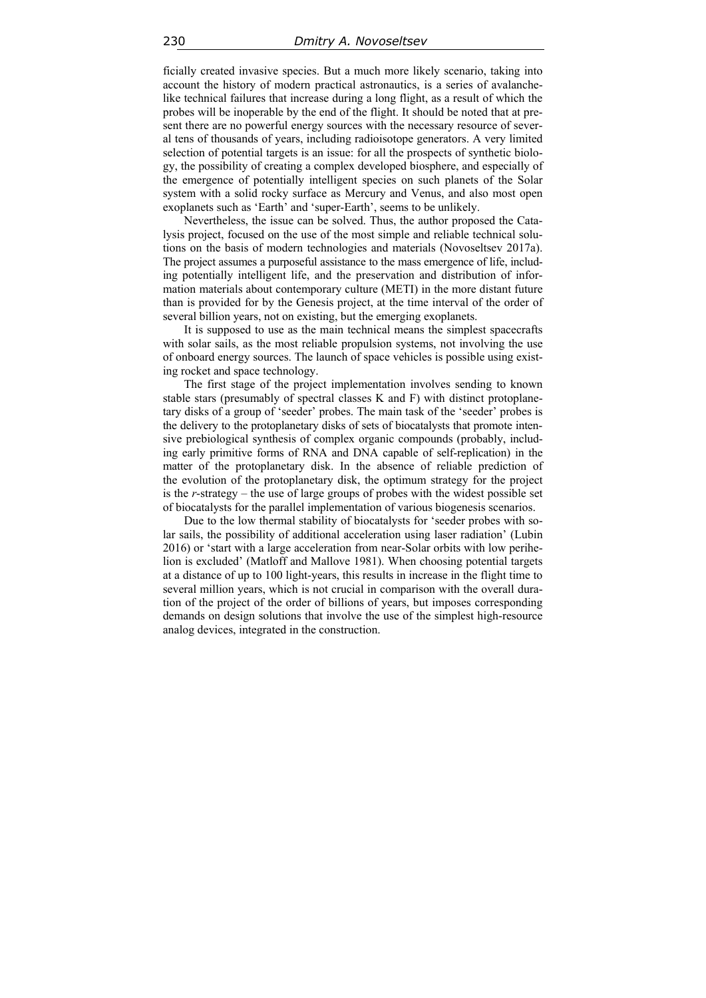ficially created invasive species. But a much more likely scenario, taking into account the history of modern practical astronautics, is a series of avalanchelike technical failures that increase during a long flight, as a result of which the probes will be inoperable by the end of the flight. It should be noted that at present there are no powerful energy sources with the necessary resource of several tens of thousands of years, including radioisotope generators. A very limited selection of potential targets is an issue: for all the prospects of synthetic biology, the possibility of creating a complex developed biosphere, and especially of the emergence of potentially intelligent species on such planets of the Solar system with a solid rocky surface as Mercury and Venus, and also most open exoplanets such as 'Earth' and 'super-Earth', seems to be unlikely.

Nevertheless, the issue can be solved. Thus, the author proposed the Catalysis project, focused on the use of the most simple and reliable technical solutions on the basis of modern technologies and materials (Novoseltsev 2017a). The project assumes a purposeful assistance to the mass emergence of life, including potentially intelligent life, and the preservation and distribution of information materials about contemporary culture (METI) in the more distant future than is provided for by the Genesis project, at the time interval of the order of several billion years, not on existing, but the emerging exoplanets.

It is supposed to use as the main technical means the simplest spacecrafts with solar sails, as the most reliable propulsion systems, not involving the use of onboard energy sources. The launch of space vehicles is possible using existing rocket and space technology.

The first stage of the project implementation involves sending to known stable stars (presumably of spectral classes K and F) with distinct protoplanetary disks of a group of 'seeder' probes. The main task of the 'seeder' probes is the delivery to the protoplanetary disks of sets of biocatalysts that promote intensive prebiological synthesis of complex organic compounds (probably, including early primitive forms of RNA and DNA capable of self-replication) in the matter of the protoplanetary disk. In the absence of reliable prediction of the evolution of the protoplanetary disk, the optimum strategy for the project is the *r*-strategy – the use of large groups of probes with the widest possible set of biocatalysts for the parallel implementation of various biogenesis scenarios.

Due to the low thermal stability of biocatalysts for 'seeder probes with solar sails, the possibility of additional acceleration using laser radiation' (Lubin 2016) or 'start with a large acceleration from near-Solar orbits with low perihelion is excluded' (Matloff and Mallove 1981). When choosing potential targets at a distance of up to 100 light-years, this results in increase in the flight time to several million years, which is not crucial in comparison with the overall duration of the project of the order of billions of years, but imposes corresponding demands on design solutions that involve the use of the simplest high-resource analog devices, integrated in the construction.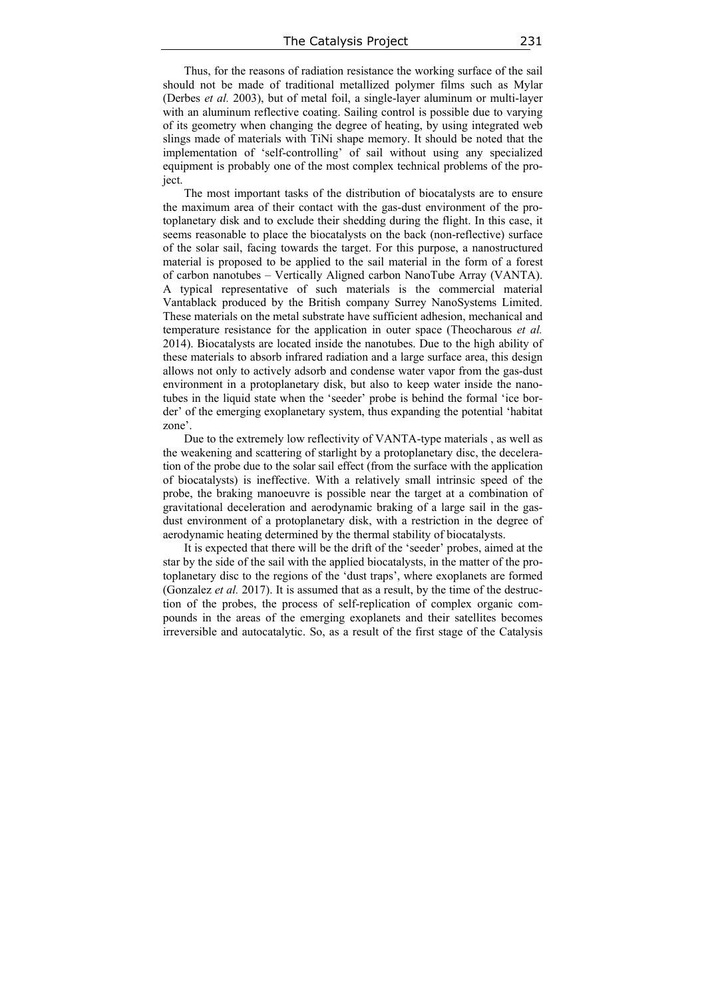Thus, for the reasons of radiation resistance the working surface of the sail should not be made of traditional metallized polymer films such as Mylar (Derbes *et al.* 2003), but of metal foil, a single-layer aluminum or multi-layer with an aluminum reflective coating. Sailing control is possible due to varying of its geometry when changing the degree of heating, by using integrated web slings made of materials with TiNi shape memory. It should be noted that the implementation of 'self-controlling' of sail without using any specialized equipment is probably one of the most complex technical problems of the project.

The most important tasks of the distribution of biocatalysts are to ensure the maximum area of their contact with the gas-dust environment of the protoplanetary disk and to exclude their shedding during the flight. In this case, it seems reasonable to place the biocatalysts on the back (non-reflective) surface of the solar sail, facing towards the target. For this purpose, a nanostructured material is proposed to be applied to the sail material in the form of a forest of carbon nanotubes – Vertically Aligned carbon NanoTube Array (VANTA). A typical representative of such materials is the commercial material Vantablack produced by the British company Surrey NanoSystems Limited. These materials on the metal substrate have sufficient adhesion, mechanical and temperature resistance for the application in outer space (Theocharous *et al.* 2014). Biocatalysts are located inside the nanotubes. Due to the high ability of these materials to absorb infrared radiation and a large surface area, this design allows not only to actively adsorb and condense water vapor from the gas-dust environment in a protoplanetary disk, but also to keep water inside the nanotubes in the liquid state when the 'seeder' probe is behind the formal 'ice border' of the emerging exoplanetary system, thus expanding the potential 'habitat zone'.

Due to the extremely low reflectivity of VANTA-type materials , as well as the weakening and scattering of starlight by a protoplanetary disc, the deceleration of the probe due to the solar sail effect (from the surface with the application of biocatalysts) is ineffective. With a relatively small intrinsic speed of the probe, the braking manoeuvre is possible near the target at a combination of gravitational deceleration and aerodynamic braking of a large sail in the gasdust environment of a protoplanetary disk, with a restriction in the degree of aerodynamic heating determined by the thermal stability of biocatalysts.

It is expected that there will be the drift of the 'seeder' probes, aimed at the star by the side of the sail with the applied biocatalysts, in the matter of the protoplanetary disc to the regions of the 'dust traps', where exoplanets are formed (Gonzalez *et al.* 2017). It is assumed that as a result, by the time of the destruction of the probes, the process of self-replication of complex organic compounds in the areas of the emerging exoplanets and their satellites becomes irreversible and autocatalytic. So, as a result of the first stage of the Catalysis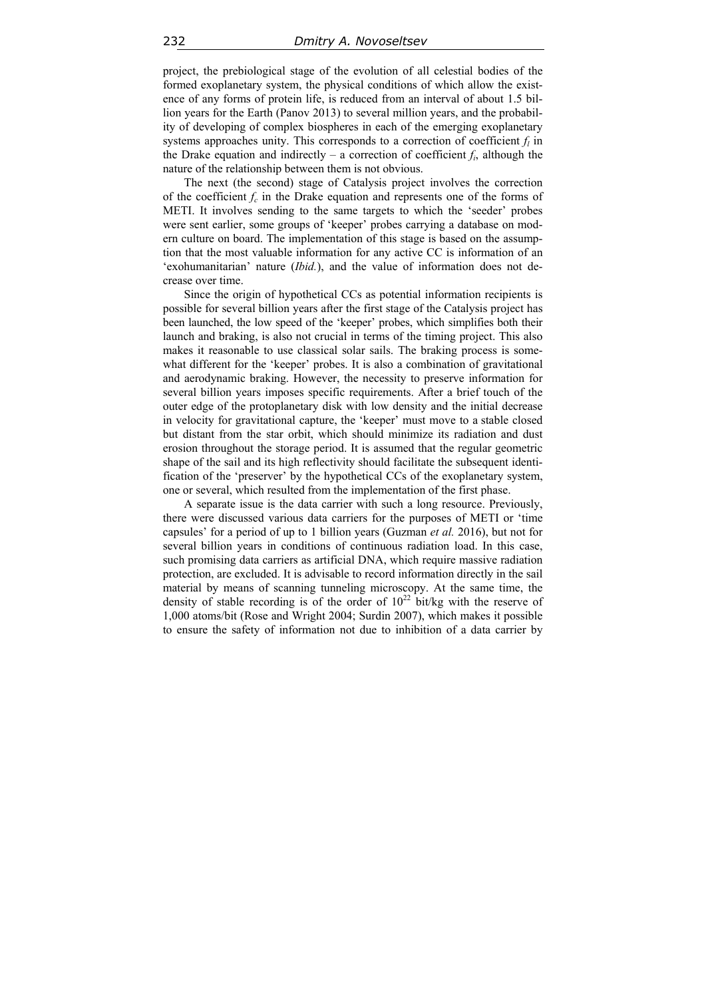project, the prebiological stage of the evolution of all celestial bodies of the formed exoplanetary system, the physical conditions of which allow the existence of any forms of protein life, is reduced from an interval of about 1.5 billion years for the Earth (Panov 2013) to several million years, and the probability of developing of complex biospheres in each of the emerging exoplanetary systems approaches unity. This corresponds to a correction of coefficient  $f_l$  in the Drake equation and indirectly – a correction of coefficient  $f_i$ , although the nature of the relationship between them is not obvious.

The next (the second) stage of Catalysis project involves the correction of the coefficient  $f_c$  in the Drake equation and represents one of the forms of METI. It involves sending to the same targets to which the 'seeder' probes were sent earlier, some groups of 'keeper' probes carrying a database on modern culture on board. The implementation of this stage is based on the assumption that the most valuable information for any active CC is information of an 'exohumanitarian' nature (*Ibid.*), and the value of information does not decrease over time.

Since the origin of hypothetical CCs as potential information recipients is possible for several billion years after the first stage of the Catalysis project has been launched, the low speed of the 'keeper' probes, which simplifies both their launch and braking, is also not crucial in terms of the timing project. This also makes it reasonable to use classical solar sails. The braking process is somewhat different for the 'keeper' probes. It is also a combination of gravitational and aerodynamic braking. However, the necessity to preserve information for several billion years imposes specific requirements. After a brief touch of the outer edge of the protoplanetary disk with low density and the initial decrease in velocity for gravitational capture, the 'keeper' must move to a stable closed but distant from the star orbit, which should minimize its radiation and dust erosion throughout the storage period. It is assumed that the regular geometric shape of the sail and its high reflectivity should facilitate the subsequent identification of the 'preserver' by the hypothetical CCs of the exoplanetary system, one or several, which resulted from the implementation of the first phase.

A separate issue is the data carrier with such a long resource. Previously, there were discussed various data carriers for the purposes of METI or 'time capsules' for a period of up to 1 billion years (Guzman *et al.* 2016), but not for several billion years in conditions of continuous radiation load. In this case, such promising data carriers as artificial DNA, which require massive radiation protection, are excluded. It is advisable to record information directly in the sail material by means of scanning tunneling microscopy. At the same time, the density of stable recording is of the order of  $10^{22}$  bit/kg with the reserve of 1,000 atoms/bit (Rose and Wright 2004; Surdin 2007), which makes it possible to ensure the safety of information not due to inhibition of a data carrier by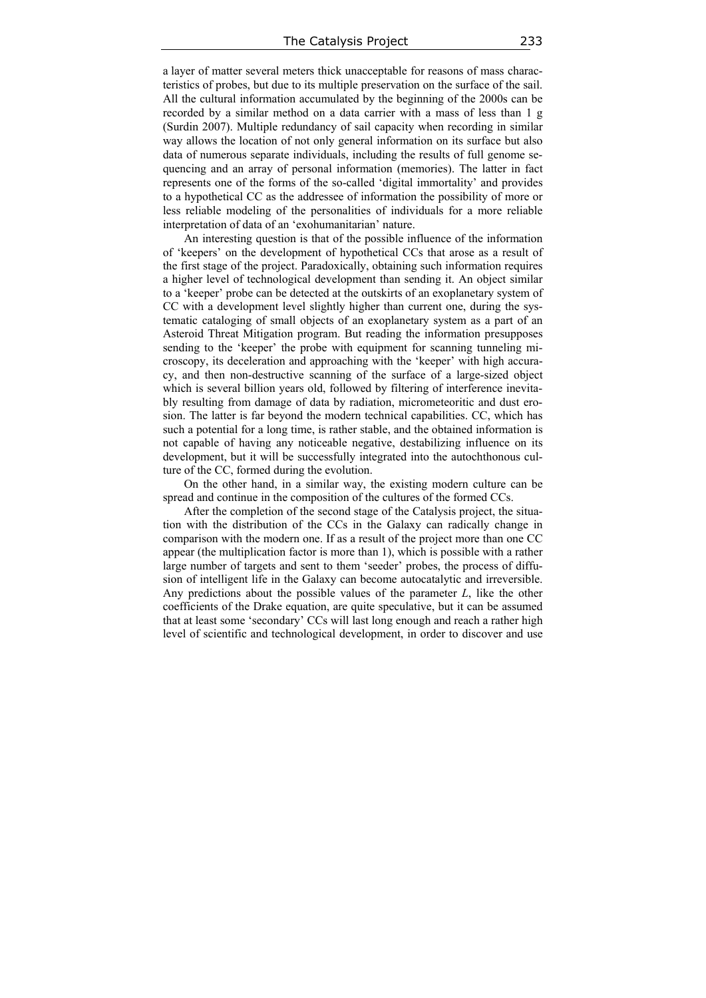a layer of matter several meters thick unacceptable for reasons of mass characteristics of probes, but due to its multiple preservation on the surface of the sail. All the cultural information accumulated by the beginning of the 2000s can be recorded by a similar method on a data carrier with a mass of less than 1 g (Surdin 2007). Multiple redundancy of sail capacity when recording in similar way allows the location of not only general information on its surface but also data of numerous separate individuals, including the results of full genome sequencing and an array of personal information (memories). The latter in fact represents one of the forms of the so-called 'digital immortality' and provides to a hypothetical CC as the addressee of information the possibility of more or less reliable modeling of the personalities of individuals for a more reliable interpretation of data of an 'exohumanitarian' nature.

An interesting question is that of the possible influence of the information of 'keepers' on the development of hypothetical CCs that arose as a result of the first stage of the project. Paradoxically, obtaining such information requires a higher level of technological development than sending it. An object similar to a 'keeper' probe can be detected at the outskirts of an exoplanetary system of CC with a development level slightly higher than current one, during the systematic cataloging of small objects of an exoplanetary system as a part of an Asteroid Threat Mitigation program. But reading the information presupposes sending to the 'keeper' the probe with equipment for scanning tunneling microscopy, its deceleration and approaching with the 'keeper' with high accuracy, and then non-destructive scanning of the surface of a large-sized object which is several billion years old, followed by filtering of interference inevitably resulting from damage of data by radiation, micrometeoritic and dust erosion. The latter is far beyond the modern technical capabilities. CC, which has such a potential for a long time, is rather stable, and the obtained information is not capable of having any noticeable negative, destabilizing influence on its development, but it will be successfully integrated into the autochthonous culture of the CC, formed during the evolution.

On the other hand, in a similar way, the existing modern culture can be spread and continue in the composition of the cultures of the formed CCs.

After the completion of the second stage of the Catalysis project, the situation with the distribution of the CCs in the Galaxy can radically change in comparison with the modern one. If as a result of the project more than one CC appear (the multiplication factor is more than 1), which is possible with a rather large number of targets and sent to them 'seeder' probes, the process of diffusion of intelligent life in the Galaxy can become autocatalytic and irreversible. Any predictions about the possible values of the parameter *L*, like the other coefficients of the Drake equation, are quite speculative, but it can be assumed that at least some 'secondary' CCs will last long enough and reach a rather high level of scientific and technological development, in order to discover and use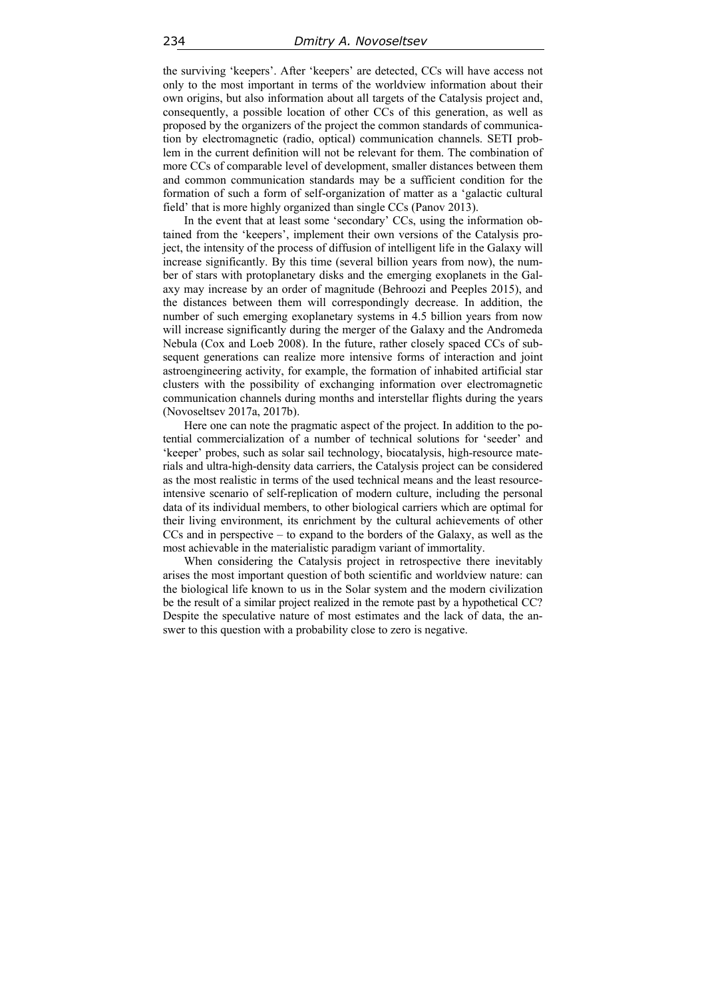the surviving 'keepers'. After 'keepers' are detected, CCs will have access not only to the most important in terms of the worldview information about their own origins, but also information about all targets of the Catalysis project and, consequently, a possible location of other CCs of this generation, as well as proposed by the organizers of the project the common standards of communication by electromagnetic (radio, optical) communication channels. SETI problem in the current definition will not be relevant for them. The combination of more CCs of comparable level of development, smaller distances between them and common communication standards may be a sufficient condition for the formation of such a form of self-organization of matter as a 'galactic cultural field' that is more highly organized than single CCs (Panov 2013).

In the event that at least some 'secondary' CCs, using the information obtained from the 'keepers', implement their own versions of the Catalysis project, the intensity of the process of diffusion of intelligent life in the Galaxy will increase significantly. By this time (several billion years from now), the number of stars with protoplanetary disks and the emerging exoplanets in the Galaxy may increase by an order of magnitude (Behroozi and Peeples 2015), and the distances between them will correspondingly decrease. In addition, the number of such emerging exoplanetary systems in 4.5 billion years from now will increase significantly during the merger of the Galaxy and the Andromeda Nebula (Cox and Loeb 2008). In the future, rather closely spaced CCs of subsequent generations can realize more intensive forms of interaction and joint astroengineering activity, for example, the formation of inhabited artificial star clusters with the possibility of exchanging information over electromagnetic communication channels during months and interstellar flights during the years (Novoseltsev 2017a, 2017b).

Here one can note the pragmatic aspect of the project. In addition to the potential commercialization of a number of technical solutions for 'seeder' and 'keeper' probes, such as solar sail technology, biocatalysis, high-resource materials and ultra-high-density data carriers, the Catalysis project can be considered as the most realistic in terms of the used technical means and the least resourceintensive scenario of self-replication of modern culture, including the personal data of its individual members, to other biological carriers which are optimal for their living environment, its enrichment by the cultural achievements of other CCs and in perspective – to expand to the borders of the Galaxy, as well as the most achievable in the materialistic paradigm variant of immortality.

When considering the Catalysis project in retrospective there inevitably arises the most important question of both scientific and worldview nature: can the biological life known to us in the Solar system and the modern civilization be the result of a similar project realized in the remote past by a hypothetical CC? Despite the speculative nature of most estimates and the lack of data, the answer to this question with a probability close to zero is negative.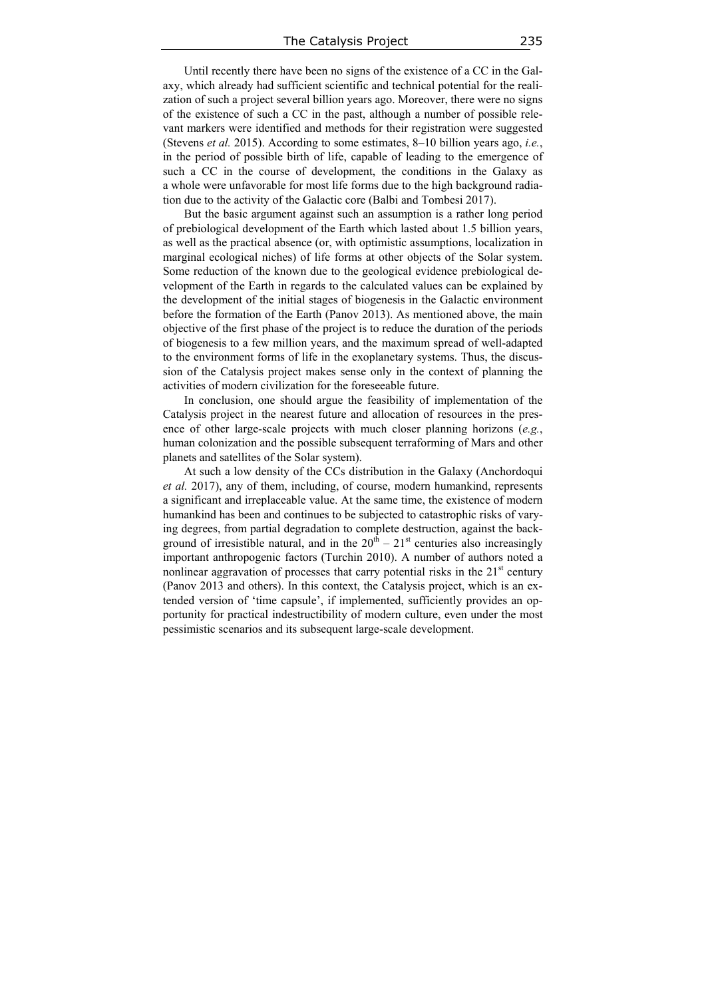Until recently there have been no signs of the existence of a CC in the Galaxy, which already had sufficient scientific and technical potential for the realization of such a project several billion years ago. Moreover, there were no signs of the existence of such a CC in the past, although a number of possible relevant markers were identified and methods for their registration were suggested (Stevens *et al.* 2015). According to some estimates, 8–10 billion years ago, *i.e.*, in the period of possible birth of life, capable of leading to the emergence of such a CC in the course of development, the conditions in the Galaxy as a whole were unfavorable for most life forms due to the high background radiation due to the activity of the Galactic core (Balbi and Tombesi 2017).

But the basic argument against such an assumption is a rather long period of prebiological development of the Earth which lasted about 1.5 billion years, as well as the practical absence (or, with optimistic assumptions, localization in marginal ecological niches) of life forms at other objects of the Solar system. Some reduction of the known due to the geological evidence prebiological development of the Earth in regards to the calculated values can be explained by the development of the initial stages of biogenesis in the Galactic environment before the formation of the Earth (Panov 2013). As mentioned above, the main objective of the first phase of the project is to reduce the duration of the periods of biogenesis to a few million years, and the maximum spread of well-adapted to the environment forms of life in the exoplanetary systems. Thus, the discussion of the Catalysis project makes sense only in the context of planning the activities of modern civilization for the foreseeable future.

In conclusion, one should argue the feasibility of implementation of the Catalysis project in the nearest future and allocation of resources in the presence of other large-scale projects with much closer planning horizons (*e.g.*, human colonization and the possible subsequent terraforming of Mars and other planets and satellites of the Solar system).

At such a low density of the CCs distribution in the Galaxy (Anchordoqui *et al.* 2017), any of them, including, of course, modern humankind, represents a significant and irreplaceable value. At the same time, the existence of modern humankind has been and continues to be subjected to catastrophic risks of varying degrees, from partial degradation to complete destruction, against the background of irresistible natural, and in the  $20<sup>th</sup> - 21<sup>st</sup>$  centuries also increasingly important anthropogenic factors (Turchin 2010). A number of authors noted a nonlinear aggravation of processes that carry potential risks in the  $21<sup>st</sup>$  century (Panov 2013 and others). In this context, the Catalysis project, which is an extended version of 'time capsule', if implemented, sufficiently provides an opportunity for practical indestructibility of modern culture, even under the most pessimistic scenarios and its subsequent large-scale development.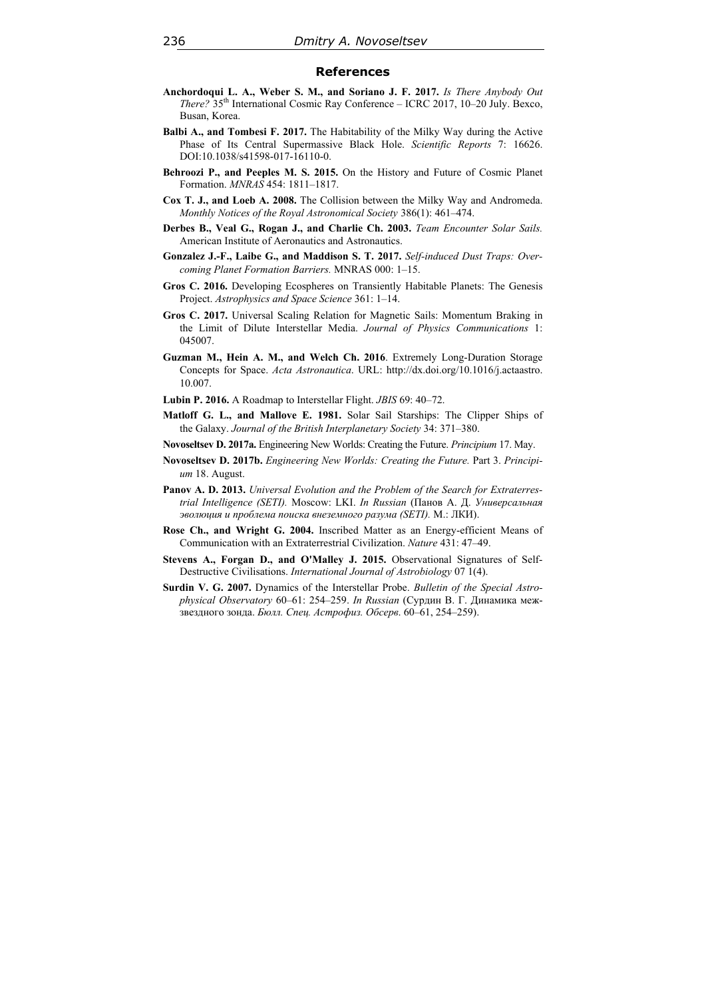## **References**

- **Anchordoqui L. A., Weber S. M., and Soriano J. F. 2017.** *Is There Anybody Out There?* 35th International Cosmic Ray Conference – ICRC 2017, 10–20 July. Bexco, Busan, Korea.
- **Balbi A., and Tombesi F. 2017.** The Habitability of the Milky Way during the Active Phase of Its Central Supermassive Black Hole. *Scientific Reports* 7: 16626. DOI:10.1038/s41598-017-16110-0.
- **Behroozi P., and Peeples M. S. 2015.** On the History and Future of Cosmic Planet Formation. *MNRAS* 454: 1811–1817.
- **Cox T. J., and Loeb A. 2008.** The Collision between the Milky Way and Andromeda. *Monthly Notices of the Royal Astronomical Society* 386(1): 461–474.
- **Derbes B., Veal G., Rogan J., and Charlie Ch. 2003.** *Team Encounter Solar Sails.* American Institute of Aeronautics and Astronautics.
- **Gonzalez J.-F., Laibe G., and Maddison S. T. 2017.** *Self-induced Dust Traps: Overcoming Planet Formation Barriers.* MNRAS 000: 1–15.
- **Gros C. 2016.** Developing Ecospheres on Transiently Habitable Planets: The Genesis Project. *Astrophysics and Space Science* 361: 1–14.
- **Gros C. 2017.** Universal Scaling Relation for Magnetic Sails: Momentum Braking in the Limit of Dilute Interstellar Media. *Journal of Physics Communications* 1: 045007.
- **Guzman M., Hein A. M., and Welch Ch. 2016**. Extremely Long-Duration Storage Concepts for Space. *Acta Astronautica*. URL: http://dx.doi.org/10.1016/j.actaastro. 10.007.
- **Lubin P. 2016.** A Roadmap to Interstellar Flight. *JBIS* 69: 40–72.
- **Matloff G. L., and Mallove E. 1981.** Solar Sail Starships: The Clipper Ships of the Galaxy. *Journal of the British Interplanetary Society* 34: 371–380.
- **Novoseltsev D. 2017a.** Engineering New Worlds: Creating the Future. *Principium* 17. May.
- **Novoseltsev D. 2017b.** *Engineering New Worlds: Creating the Future.* Part 3. *Principium* 18. August.
- **Panov A. D. 2013.** *Universal Evolution and the Problem of the Search for Extraterrestrial Intelligence (SETI).* Moscow: LKI. *In Russian* (Панов А. Д. *Универсальная эволюция и проблема поиска внеземного разума (SETI).* М.: ЛКИ).
- **Rose Ch., and Wright G. 2004.** Inscribed Matter as an Energy-efficient Means of Communication with an Extraterrestrial Civilization. *Nature* 431: 47–49.
- **Stevens А., Forgan D., and O'Malley J. 2015.** Observational Signatures of Self-Destructive Civilisations. *International Journal of Astrobiology* 07 1(4).
- **Surdin V. G. 2007.** Dynamics of the Interstellar Probe. *Bulletin of the Special Astrophysical Observatory* 60–61: 254–259. *In Russian* (Сурдин В. Г. Динамика межзвездного зонда. *Бюлл. Спец. Астрофиз. Обсерв*. 60–61, 254–259).